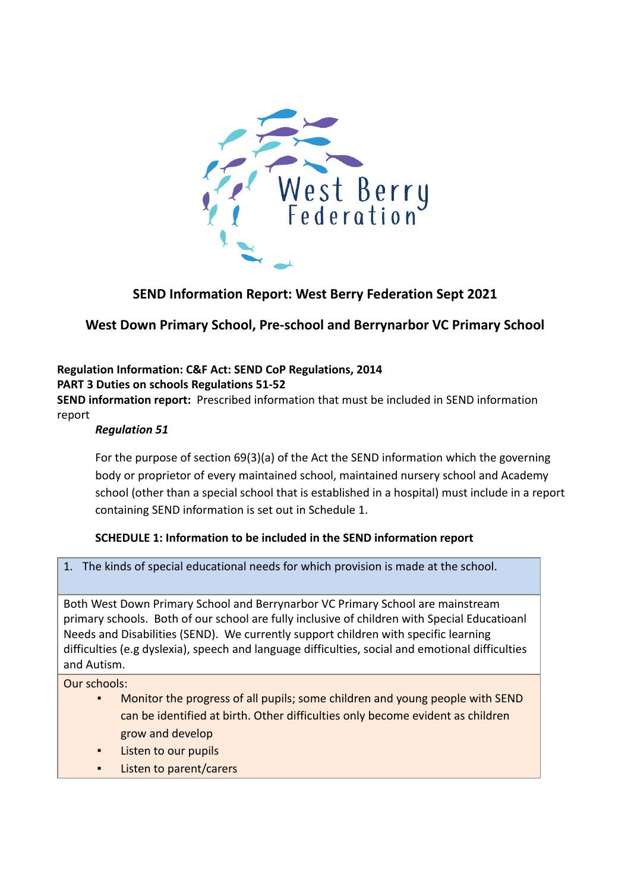

# **SEND Information Report: West Berry Federation Sept 2021**

# **West Down Primary School, Pre-school and Berrynarbor VC Primary School**

# **Regulation Information: C&F Act: SEND CoP Regulations, 2014**

**PART 3 Duties on schools Regulations 51-52**

**SEND information report:** Prescribed information that must be included in SEND information report

### *Regulation 51*

For the purpose of section 69(3)(a) of the Act the SEND information which the governing body or proprietor of every maintained school, maintained nursery school and Academy school (other than a special school that is established in a hospital) must include in a report containing SEND information is set out in Schedule 1.

# **SCHEDULE 1: Information to be included in the SEND information report**

1. The kinds of special educational needs for which provision is made at the school.

Both West Down Primary School and Berrynarbor VC Primary School are mainstream primary schools. Both of our school are fully inclusive of children with Special Educatioanl Needs and Disabilities (SEND). We currently support children with specific learning difficulties (e.g dyslexia), speech and language difficulties, social and emotional difficulties and Autism.

- Monitor the progress of all pupils; some children and young people with SEND can be identified at birth. Other difficulties only become evident as children grow and develop
- Listen to our pupils
- Listen to parent/carers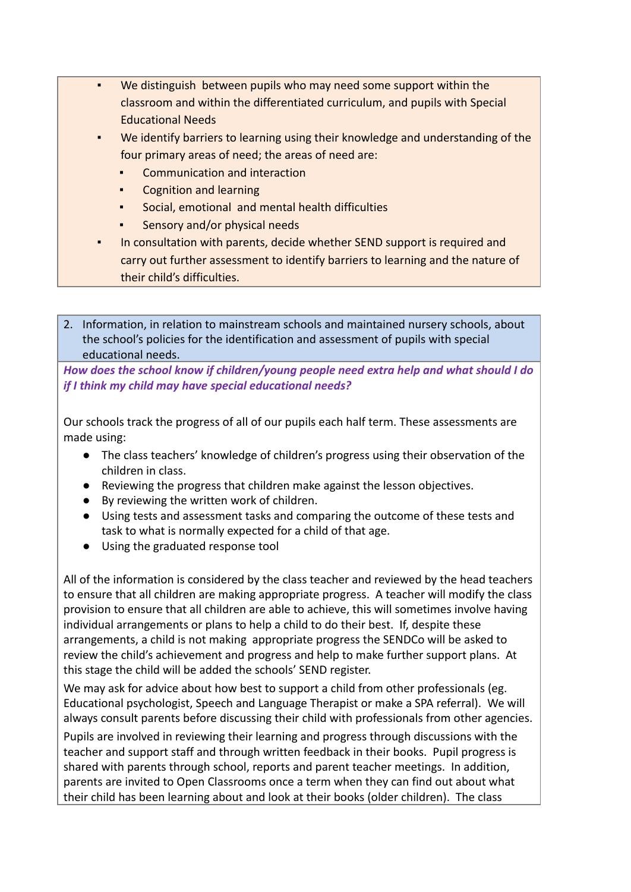- We distinguish between pupils who may need some support within the classroom and within the differentiated curriculum, and pupils with Special Educational Needs
- We identify barriers to learning using their knowledge and understanding of the four primary areas of need; the areas of need are:
	- Communication and interaction
	- **Cognition and learning**
	- Social, emotional and mental health difficulties
	- Sensory and/or physical needs
- In consultation with parents, decide whether SEND support is required and carry out further assessment to identify barriers to learning and the nature of their child's difficulties.
- 2. Information, in relation to mainstream schools and maintained nursery schools, about the school's policies for the identification and assessment of pupils with special educational needs.

*How does the school know if children/young people need extra help and what should I do if I think my child may have special educational needs?*

Our schools track the progress of all of our pupils each half term. These assessments are made using:

- The class teachers' knowledge of children's progress using their observation of the children in class.
- Reviewing the progress that children make against the lesson objectives.
- By reviewing the written work of children.
- Using tests and assessment tasks and comparing the outcome of these tests and task to what is normally expected for a child of that age.
- Using the graduated response tool

All of the information is considered by the class teacher and reviewed by the head teachers to ensure that all children are making appropriate progress. A teacher will modify the class provision to ensure that all children are able to achieve, this will sometimes involve having individual arrangements or plans to help a child to do their best. If, despite these arrangements, a child is not making appropriate progress the SENDCo will be asked to review the child's achievement and progress and help to make further support plans. At this stage the child will be added the schools' SEND register.

We may ask for advice about how best to support a child from other professionals (eg. Educational psychologist, Speech and Language Therapist or make a SPA referral). We will always consult parents before discussing their child with professionals from other agencies.

Pupils are involved in reviewing their learning and progress through discussions with the teacher and support staff and through written feedback in their books. Pupil progress is shared with parents through school, reports and parent teacher meetings. In addition, parents are invited to Open Classrooms once a term when they can find out about what their child has been learning about and look at their books (older children). The class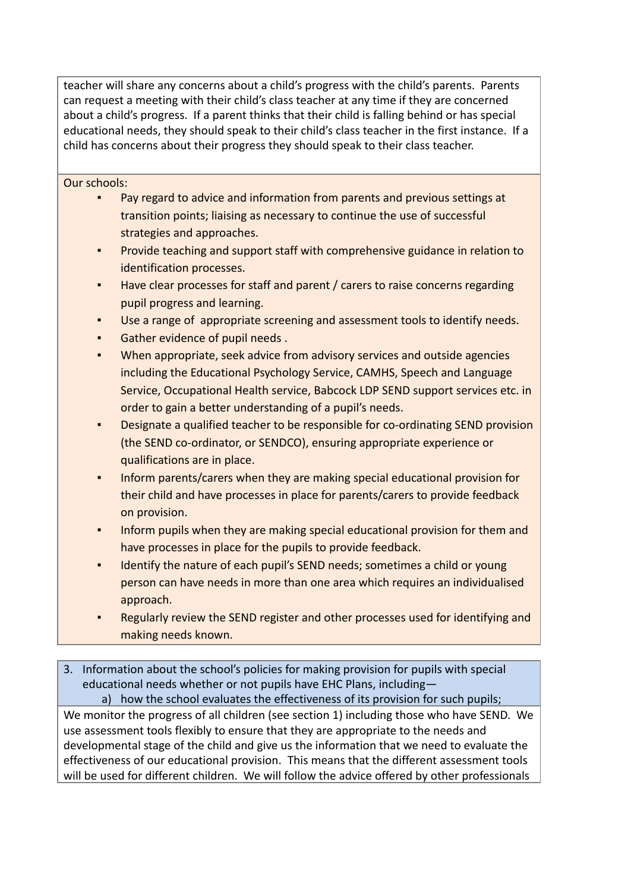teacher will share any concerns about a child's progress with the child's parents. Parents can request a meeting with their child's class teacher at any time if they are concerned about a child's progress. If a parent thinks that their child is falling behind or has special educational needs, they should speak to their child's class teacher in the first instance. If a child has concerns about their progress they should speak to their class teacher.

#### Our schools:

- Pay regard to advice and information from parents and previous settings at transition points; liaising as necessary to continue the use of successful strategies and approaches.
- Provide teaching and support staff with comprehensive guidance in relation to identification processes.
- Have clear processes for staff and parent / carers to raise concerns regarding pupil progress and learning.
- Use a range of appropriate screening and assessment tools to identify needs.
- Gather evidence of pupil needs.
- When appropriate, seek advice from advisory services and outside agencies including the Educational Psychology Service, CAMHS, Speech and Language Service, Occupational Health service, Babcock LDP SEND support services etc. in order to gain a better understanding of a pupil's needs.
- Designate a qualified teacher to be responsible for co-ordinating SEND provision (the SEND co-ordinator, or SENDCO), ensuring appropriate experience or qualifications are in place.
- Inform parents/carers when they are making special educational provision for their child and have processes in place for parents/carers to provide feedback on provision.
- Inform pupils when they are making special educational provision for them and have processes in place for the pupils to provide feedback.
- Identify the nature of each pupil's SEND needs; sometimes a child or young person can have needs in more than one area which requires an individualised approach.
- Regularly review the SEND register and other processes used for identifying and making needs known.
- 3. Information about the school's policies for making provision for pupils with special educational needs whether or not pupils have EHC Plans, including—

a) how the school evaluates the effectiveness of its provision for such pupils; We monitor the progress of all children (see section 1) including those who have SEND. We use assessment tools flexibly to ensure that they are appropriate to the needs and developmental stage of the child and give us the information that we need to evaluate the effectiveness of our educational provision. This means that the different assessment tools will be used for different children. We will follow the advice offered by other professionals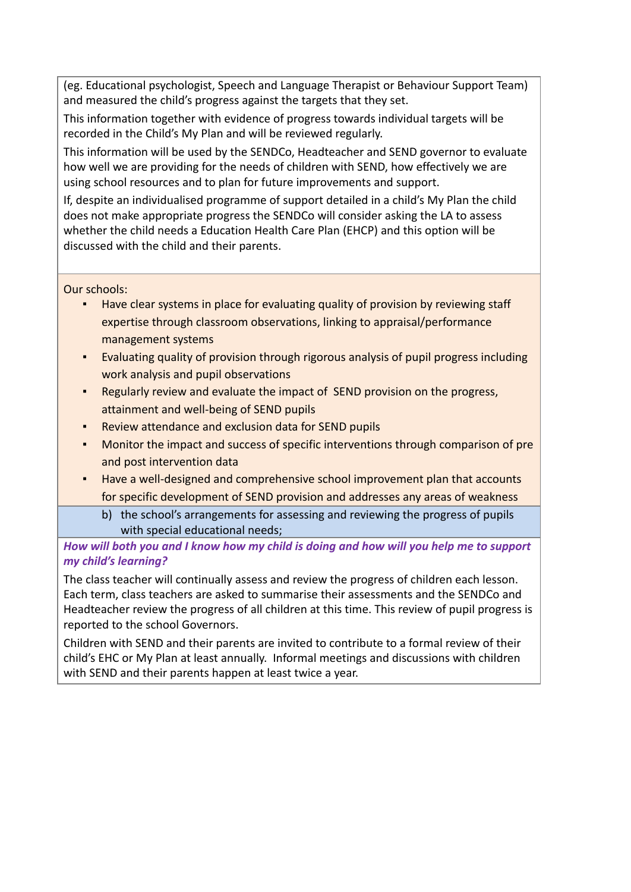(eg. Educational psychologist, Speech and Language Therapist or Behaviour Support Team) and measured the child's progress against the targets that they set.

This information together with evidence of progress towards individual targets will be recorded in the Child's My Plan and will be reviewed regularly.

This information will be used by the SENDCo, Headteacher and SEND governor to evaluate how well we are providing for the needs of children with SEND, how effectively we are using school resources and to plan for future improvements and support.

If, despite an individualised programme of support detailed in a child's My Plan the child does not make appropriate progress the SENDCo will consider asking the LA to assess whether the child needs a Education Health Care Plan (EHCP) and this option will be discussed with the child and their parents.

Our schools:

- **EXED THE Have clear systems in place for evaluating quality of provision by reviewing staff** expertise through classroom observations, linking to appraisal/performance management systems
- Evaluating quality of provision through rigorous analysis of pupil progress including work analysis and pupil observations
- Regularly review and evaluate the impact of SEND provision on the progress, attainment and well-being of SEND pupils
- Review attendance and exclusion data for SEND pupils
- Monitor the impact and success of specific interventions through comparison of pre and post intervention data
- Have a well-designed and comprehensive school improvement plan that accounts for specific development of SEND provision and addresses any areas of weakness
	- b) the school's arrangements for assessing and reviewing the progress of pupils with special educational needs;

*How will both you and I know how my child is doing and how will you help me to support my child's learning?*

The class teacher will continually assess and review the progress of children each lesson. Each term, class teachers are asked to summarise their assessments and the SENDCo and Headteacher review the progress of all children at this time. This review of pupil progress is reported to the school Governors.

Children with SEND and their parents are invited to contribute to a formal review of their child's EHC or My Plan at least annually. Informal meetings and discussions with children with SEND and their parents happen at least twice a year.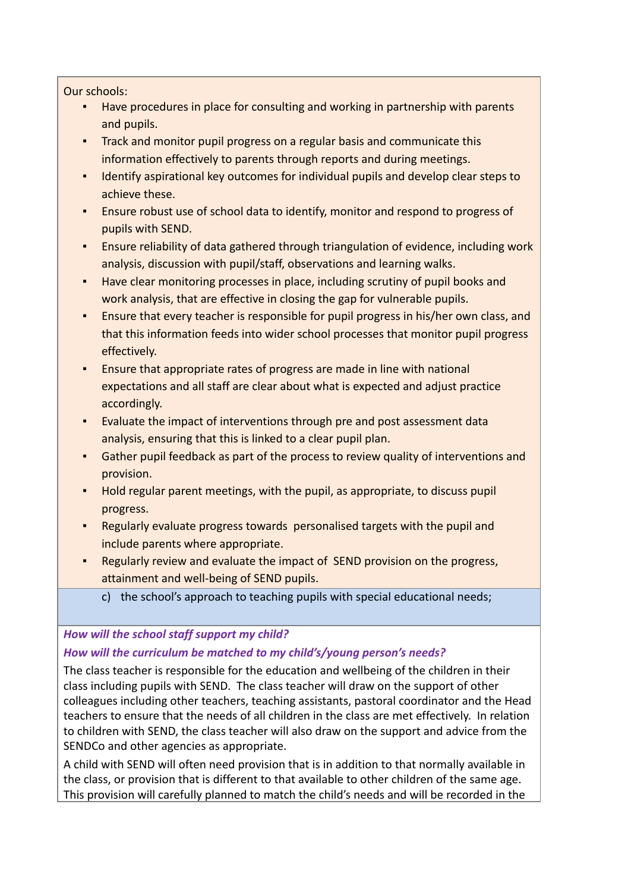#### Our schools:

- Have procedures in place for consulting and working in partnership with parents and pupils.
- **Track and monitor pupil progress on a regular basis and communicate this** information effectively to parents through reports and during meetings.
- Identify aspirational key outcomes for individual pupils and develop clear steps to achieve these.
- Ensure robust use of school data to identify, monitor and respond to progress of pupils with SEND.
- Ensure reliability of data gathered through triangulation of evidence, including work analysis, discussion with pupil/staff, observations and learning walks.
- Have clear monitoring processes in place, including scrutiny of pupil books and work analysis, that are effective in closing the gap for vulnerable pupils.
- Ensure that every teacher is responsible for pupil progress in his/her own class, and that this information feeds into wider school processes that monitor pupil progress effectively.
- Ensure that appropriate rates of progress are made in line with national expectations and all staff are clear about what is expected and adjust practice accordingly.
- Evaluate the impact of interventions through pre and post assessment data analysis, ensuring that this is linked to a clear pupil plan.
- Gather pupil feedback as part of the process to review quality of interventions and provision.
- Hold regular parent meetings, with the pupil, as appropriate, to discuss pupil progress.
- Regularly evaluate progress towards personalised targets with the pupil and include parents where appropriate.
- Regularly review and evaluate the impact of SEND provision on the progress, attainment and well-being of SEND pupils.
	- c) the school's approach to teaching pupils with special educational needs;

# *How will the school staff support my child?*

# *How will the curriculum be matched to my child's/young person's needs?*

The class teacher is responsible for the education and wellbeing of the children in their class including pupils with SEND. The class teacher will draw on the support of other colleagues including other teachers, teaching assistants, pastoral coordinator and the Head teachers to ensure that the needs of all children in the class are met effectively. In relation to children with SEND, the class teacher will also draw on the support and advice from the SENDCo and other agencies as appropriate.

A child with SEND will often need provision that is in addition to that normally available in the class, or provision that is different to that available to other children of the same age. This provision will carefully planned to match the child's needs and will be recorded in the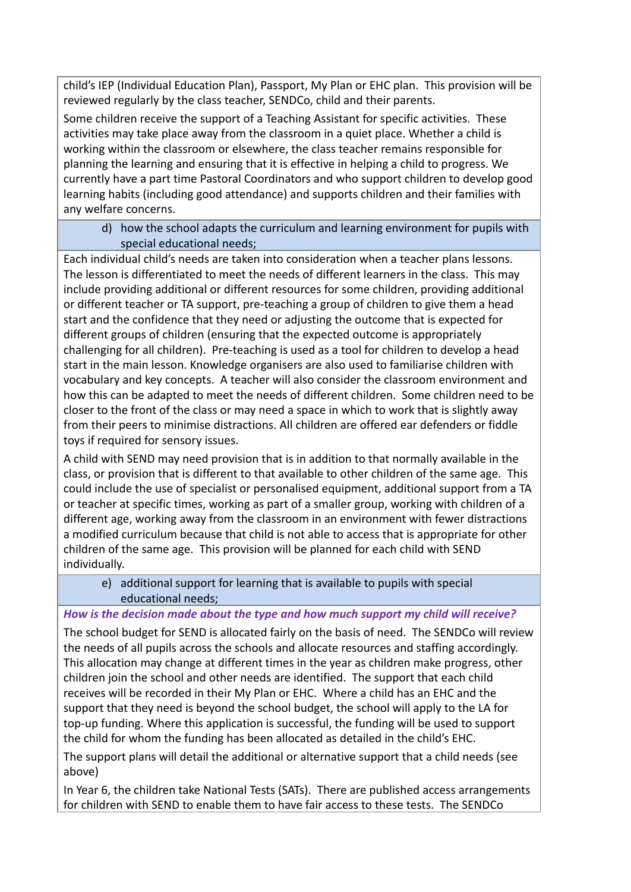child's IEP (Individual Education Plan), Passport, My Plan or EHC plan. This provision will be reviewed regularly by the class teacher, SENDCo, child and their parents.

Some children receive the support of a Teaching Assistant for specific activities. These activities may take place away from the classroom in a quiet place. Whether a child is working within the classroom or elsewhere, the class teacher remains responsible for planning the learning and ensuring that it is effective in helping a child to progress. We currently have a part time Pastoral Coordinators and who support children to develop good learning habits (including good attendance) and supports children and their families with any welfare concerns.

#### d) how the school adapts the curriculum and learning environment for pupils with special educational needs;

Each individual child's needs are taken into consideration when a teacher plans lessons. The lesson is differentiated to meet the needs of different learners in the class. This may include providing additional or different resources for some children, providing additional or different teacher or TA support, pre-teaching a group of children to give them a head start and the confidence that they need or adjusting the outcome that is expected for different groups of children (ensuring that the expected outcome is appropriately challenging for all children). Pre-teaching is used as a tool for children to develop a head start in the main lesson. Knowledge organisers are also used to familiarise children with vocabulary and key concepts. A teacher will also consider the classroom environment and how this can be adapted to meet the needs of different children. Some children need to be closer to the front of the class or may need a space in which to work that is slightly away from their peers to minimise distractions. All children are offered ear defenders or fiddle toys if required for sensory issues.

A child with SEND may need provision that is in addition to that normally available in the class, or provision that is different to that available to other children of the same age. This could include the use of specialist or personalised equipment, additional support from a TA or teacher at specific times, working as part of a smaller group, working with children of a different age, working away from the classroom in an environment with fewer distractions a modified curriculum because that child is not able to access that is appropriate for other children of the same age. This provision will be planned for each child with SEND individually.

### e) additional support for learning that is available to pupils with special educational needs;

### *How is the decision made about the type and how much support my child will receive?*

The school budget for SEND is allocated fairly on the basis of need. The SENDCo will review the needs of all pupils across the schools and allocate resources and staffing accordingly. This allocation may change at different times in the year as children make progress, other children join the school and other needs are identified. The support that each child receives will be recorded in their My Plan or EHC. Where a child has an EHC and the support that they need is beyond the school budget, the school will apply to the LA for top-up funding. Where this application is successful, the funding will be used to support the child for whom the funding has been allocated as detailed in the child's EHC.

The support plans will detail the additional or alternative support that a child needs (see above)

In Year 6, the children take National Tests (SATs). There are published access arrangements for children with SEND to enable them to have fair access to these tests. The SENDCo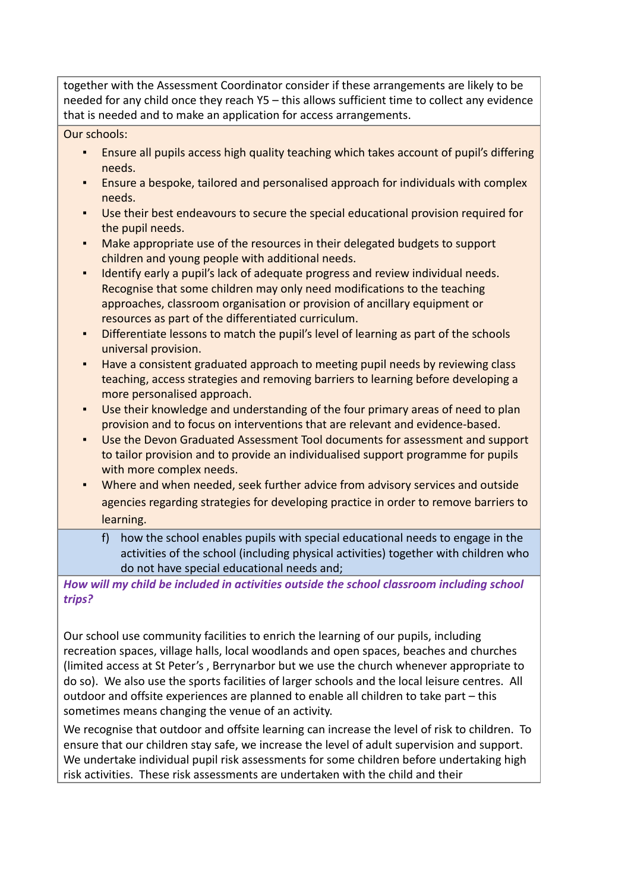together with the Assessment Coordinator consider if these arrangements are likely to be needed for any child once they reach Y5 – this allows sufficient time to collect any evidence that is needed and to make an application for access arrangements.

Our schools:

- **•** Ensure all pupils access high quality teaching which takes account of pupil's differing needs.
- Ensure a bespoke, tailored and personalised approach for individuals with complex needs.
- Use their best endeavours to secure the special educational provision required for the pupil needs.
- Make appropriate use of the resources in their delegated budgets to support children and young people with additional needs.
- Identify early a pupil's lack of adequate progress and review individual needs. Recognise that some children may only need modifications to the teaching approaches, classroom organisation or provision of ancillary equipment or resources as part of the differentiated curriculum.
- Differentiate lessons to match the pupil's level of learning as part of the schools universal provision.
- Have a consistent graduated approach to meeting pupil needs by reviewing class teaching, access strategies and removing barriers to learning before developing a more personalised approach.
- Use their knowledge and understanding of the four primary areas of need to plan provision and to focus on interventions that are relevant and evidence-based.
- Use the Devon Graduated Assessment Tool documents for assessment and support to tailor provision and to provide an individualised support programme for pupils with more complex needs.
- Where and when needed, seek further advice from advisory services and outside agencies regarding strategies for developing practice in order to remove barriers to learning.
	- f) how the school enables pupils with special educational needs to engage in the activities of the school (including physical activities) together with children who do not have special educational needs and;

*How will my child be included in activities outside the school classroom including school trips?*

Our school use community facilities to enrich the learning of our pupils, including recreation spaces, village halls, local woodlands and open spaces, beaches and churches (limited access at St Peter's , Berrynarbor but we use the church whenever appropriate to do so). We also use the sports facilities of larger schools and the local leisure centres. All outdoor and offsite experiences are planned to enable all children to take part – this sometimes means changing the venue of an activity.

We recognise that outdoor and offsite learning can increase the level of risk to children. To ensure that our children stay safe, we increase the level of adult supervision and support. We undertake individual pupil risk assessments for some children before undertaking high risk activities. These risk assessments are undertaken with the child and their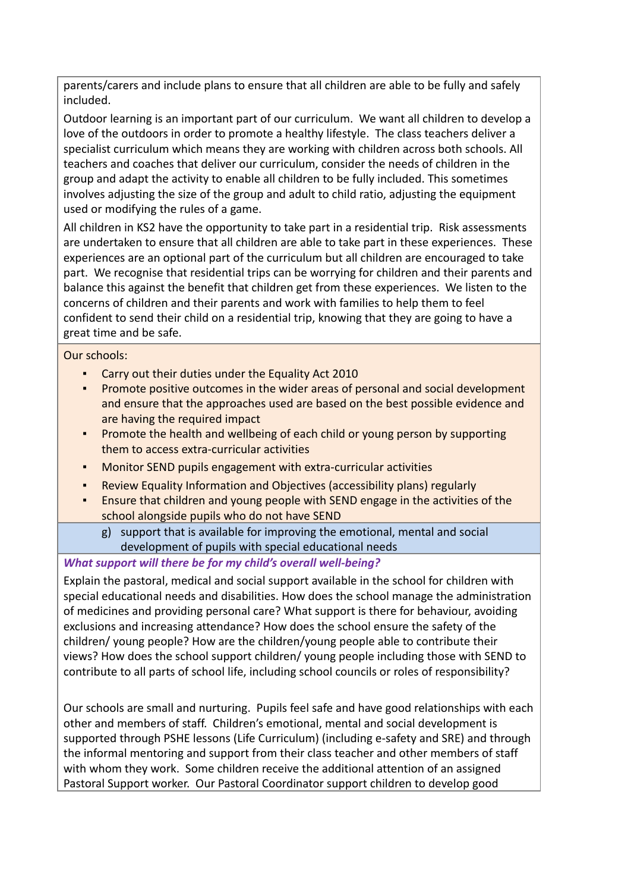parents/carers and include plans to ensure that all children are able to be fully and safely included.

Outdoor learning is an important part of our curriculum. We want all children to develop a love of the outdoors in order to promote a healthy lifestyle. The class teachers deliver a specialist curriculum which means they are working with children across both schools. All teachers and coaches that deliver our curriculum, consider the needs of children in the group and adapt the activity to enable all children to be fully included. This sometimes involves adjusting the size of the group and adult to child ratio, adjusting the equipment used or modifying the rules of a game.

All children in KS2 have the opportunity to take part in a residential trip. Risk assessments are undertaken to ensure that all children are able to take part in these experiences. These experiences are an optional part of the curriculum but all children are encouraged to take part. We recognise that residential trips can be worrying for children and their parents and balance this against the benefit that children get from these experiences. We listen to the concerns of children and their parents and work with families to help them to feel confident to send their child on a residential trip, knowing that they are going to have a great time and be safe.

Our schools:

- Carry out their duties under the Equality Act 2010
- Promote positive outcomes in the wider areas of personal and social development and ensure that the approaches used are based on the best possible evidence and are having the required impact
- Promote the health and wellbeing of each child or young person by supporting them to access extra-curricular activities
- Monitor SEND pupils engagement with extra-curricular activities
- Review Equality Information and Objectives (accessibility plans) regularly
- Ensure that children and young people with SEND engage in the activities of the school alongside pupils who do not have SEND
	- g) support that is available for improving the emotional, mental and social development of pupils with special educational needs

# *What support will there be for my child's overall well-being?*

Explain the pastoral, medical and social support available in the school for children with special educational needs and disabilities. How does the school manage the administration of medicines and providing personal care? What support is there for behaviour, avoiding exclusions and increasing attendance? How does the school ensure the safety of the children/ young people? How are the children/young people able to contribute their views? How does the school support children/ young people including those with SEND to contribute to all parts of school life, including school councils or roles of responsibility?

Our schools are small and nurturing. Pupils feel safe and have good relationships with each other and members of staff. Children's emotional, mental and social development is supported through PSHE lessons (Life Curriculum) (including e-safety and SRE) and through the informal mentoring and support from their class teacher and other members of staff with whom they work. Some children receive the additional attention of an assigned Pastoral Support worker. Our Pastoral Coordinator support children to develop good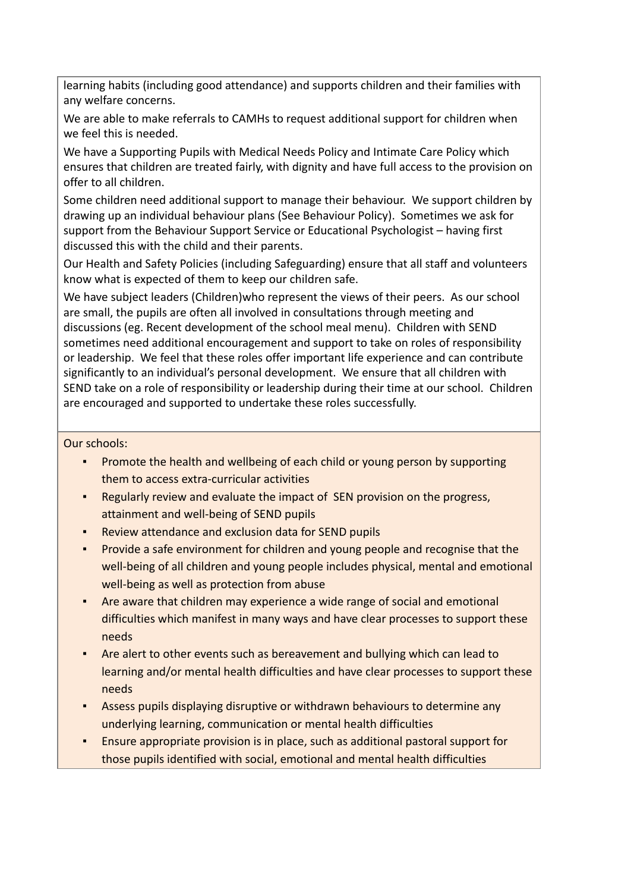learning habits (including good attendance) and supports children and their families with any welfare concerns.

We are able to make referrals to CAMHs to request additional support for children when we feel this is needed.

We have a Supporting Pupils with Medical Needs Policy and Intimate Care Policy which ensures that children are treated fairly, with dignity and have full access to the provision on offer to all children.

Some children need additional support to manage their behaviour. We support children by drawing up an individual behaviour plans (See Behaviour Policy). Sometimes we ask for support from the Behaviour Support Service or Educational Psychologist – having first discussed this with the child and their parents.

Our Health and Safety Policies (including Safeguarding) ensure that all staff and volunteers know what is expected of them to keep our children safe.

We have subject leaders (Children)who represent the views of their peers. As our school are small, the pupils are often all involved in consultations through meeting and discussions (eg. Recent development of the school meal menu). Children with SEND sometimes need additional encouragement and support to take on roles of responsibility or leadership. We feel that these roles offer important life experience and can contribute significantly to an individual's personal development. We ensure that all children with SEND take on a role of responsibility or leadership during their time at our school. Children are encouraged and supported to undertake these roles successfully.

- Promote the health and wellbeing of each child or young person by supporting them to access extra-curricular activities
- Regularly review and evaluate the impact of SEN provision on the progress, attainment and well-being of SEND pupils
- Review attendance and exclusion data for SEND pupils
- Provide a safe environment for children and young people and recognise that the well-being of all children and young people includes physical, mental and emotional well-being as well as protection from abuse
- Are aware that children may experience a wide range of social and emotional difficulties which manifest in many ways and have clear processes to support these needs
- Are alert to other events such as bereavement and bullying which can lead to learning and/or mental health difficulties and have clear processes to support these needs
- Assess pupils displaying disruptive or withdrawn behaviours to determine any underlying learning, communication or mental health difficulties
- Ensure appropriate provision is in place, such as additional pastoral support for those pupils identified with social, emotional and mental health difficulties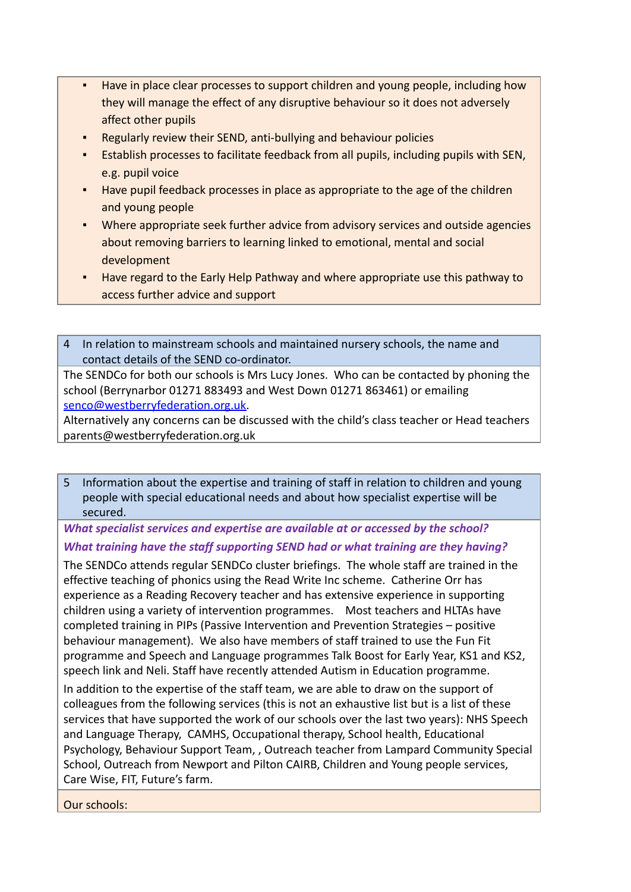- Have in place clear processes to support children and young people, including how they will manage the effect of any disruptive behaviour so it does not adversely affect other pupils
- Regularly review their SEND, anti-bullying and behaviour policies
- Establish processes to facilitate feedback from all pupils, including pupils with SEN, e.g. pupil voice
- Have pupil feedback processes in place as appropriate to the age of the children and young people
- Where appropriate seek further advice from advisory services and outside agencies about removing barriers to learning linked to emotional, mental and social development
- Have regard to the Early Help Pathway and where appropriate use this pathway to access further advice and support

4 In relation to mainstream schools and maintained nursery schools, the name and contact details of the SEND co-ordinator.

The SENDCo for both our schools is Mrs Lucy Jones. Who can be contacted by phoning the school (Berrynarbor 01271 883493 and West Down 01271 863461) or emailing [senco@westberryfederation.org.uk.](mailto:senco@westberryfederation.org.uk)

Alternatively any concerns can be discussed with the child's class teacher or Head teachers parents@westberryfederation.org.uk

5 Information about the expertise and training of staff in relation to children and young people with special educational needs and about how specialist expertise will be secured.

*What specialist services and expertise are available at or accessed by the school? What training have the staff supporting SEND had or what training are they having?*

The SENDCo attends regular SENDCo cluster briefings. The whole staff are trained in the effective teaching of phonics using the Read Write Inc scheme. Catherine Orr has experience as a Reading Recovery teacher and has extensive experience in supporting children using a variety of intervention programmes. Most teachers and HLTAs have completed training in PIPs (Passive Intervention and Prevention Strategies – positive behaviour management). We also have members of staff trained to use the Fun Fit programme and Speech and Language programmes Talk Boost for Early Year, KS1 and KS2, speech link and Neli. Staff have recently attended Autism in Education programme.

In addition to the expertise of the staff team, we are able to draw on the support of colleagues from the following services (this is not an exhaustive list but is a list of these services that have supported the work of our schools over the last two years): NHS Speech and Language Therapy, CAMHS, Occupational therapy, School health, Educational Psychology, Behaviour Support Team, , Outreach teacher from Lampard Community Special School, Outreach from Newport and Pilton CAIRB, Children and Young people services, Care Wise, FIT, Future's farm.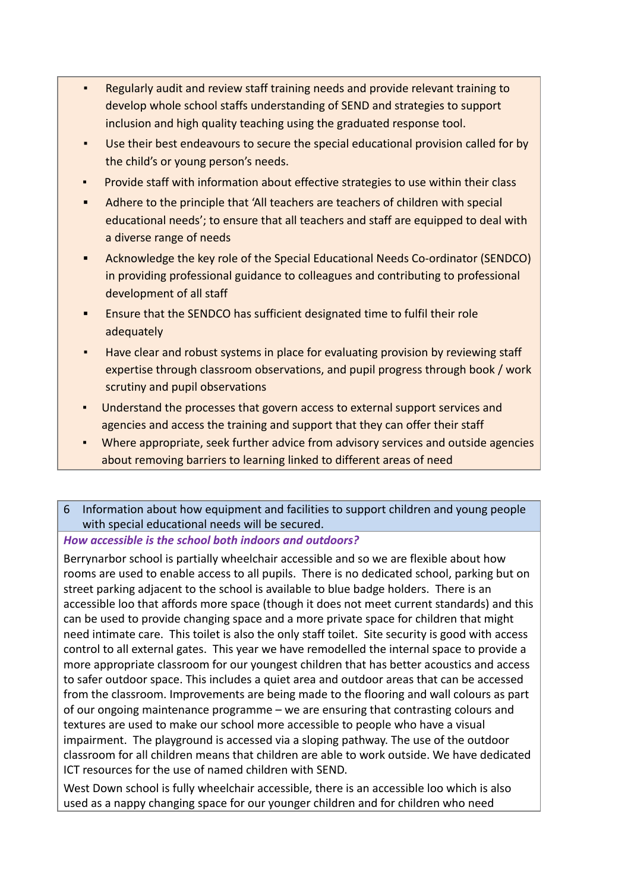- Regularly audit and review staff training needs and provide relevant training to develop whole school staffs understanding of SEND and strategies to support inclusion and high quality teaching using the graduated response tool.
- Use their best endeavours to secure the special educational provision called for by the child's or young person's needs.
- Provide staff with information about effective strategies to use within their class
- Adhere to the principle that 'All teachers are teachers of children with special educational needs'; to ensure that all teachers and staff are equipped to deal with a diverse range of needs
- **▪** Acknowledge the key role of the Special Educational Needs Co-ordinator (SENDCO) in providing professional guidance to colleagues and contributing to professional development of all staff
- **▪** Ensure that the SENDCO has sufficient designated time to fulfil their role adequately
- Have clear and robust systems in place for evaluating provision by reviewing staff expertise through classroom observations, and pupil progress through book / work scrutiny and pupil observations
- Understand the processes that govern access to external support services and agencies and access the training and support that they can offer their staff
- Where appropriate, seek further advice from advisory services and outside agencies about removing barriers to learning linked to different areas of need
- 6 Information about how equipment and facilities to support children and young people with special educational needs will be secured.

# *How accessible is the school both indoors and outdoors?*

Berrynarbor school is partially wheelchair accessible and so we are flexible about how rooms are used to enable access to all pupils. There is no dedicated school, parking but on street parking adjacent to the school is available to blue badge holders. There is an accessible loo that affords more space (though it does not meet current standards) and this can be used to provide changing space and a more private space for children that might need intimate care. This toilet is also the only staff toilet. Site security is good with access control to all external gates. This year we have remodelled the internal space to provide a more appropriate classroom for our youngest children that has better acoustics and access to safer outdoor space. This includes a quiet area and outdoor areas that can be accessed from the classroom. Improvements are being made to the flooring and wall colours as part of our ongoing maintenance programme – we are ensuring that contrasting colours and textures are used to make our school more accessible to people who have a visual impairment. The playground is accessed via a sloping pathway. The use of the outdoor classroom for all children means that children are able to work outside. We have dedicated ICT resources for the use of named children with SEND.

West Down school is fully wheelchair accessible, there is an accessible loo which is also used as a nappy changing space for our younger children and for children who need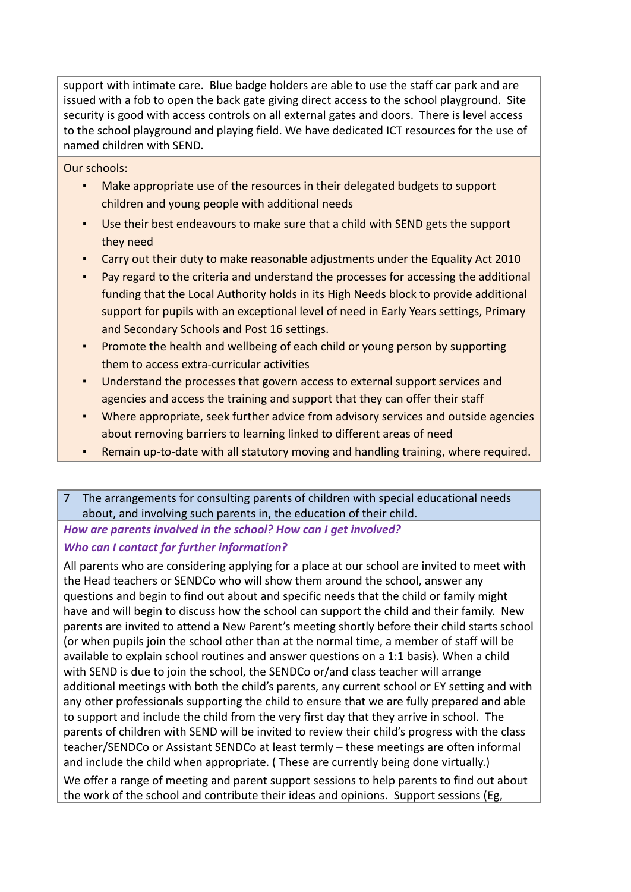support with intimate care. Blue badge holders are able to use the staff car park and are issued with a fob to open the back gate giving direct access to the school playground. Site security is good with access controls on all external gates and doors. There is level access to the school playground and playing field. We have dedicated ICT resources for the use of named children with SEND.

Our schools:

- Make appropriate use of the resources in their delegated budgets to support children and young people with additional needs
- Use their best endeavours to make sure that a child with SEND gets the support they need
- Carry out their duty to make reasonable adjustments under the Equality Act 2010
- Pay regard to the criteria and understand the processes for accessing the additional funding that the Local Authority holds in its High Needs block to provide additional support for pupils with an exceptional level of need in Early Years settings, Primary and Secondary Schools and Post 16 settings.
- Promote the health and wellbeing of each child or young person by supporting them to access extra-curricular activities
- Understand the processes that govern access to external support services and agencies and access the training and support that they can offer their staff
- Where appropriate, seek further advice from advisory services and outside agencies about removing barriers to learning linked to different areas of need
- Remain up-to-date with all statutory moving and handling training, where required.
- 7 The arrangements for consulting parents of children with special educational needs about, and involving such parents in, the education of their child.

*How are parents involved in the school? How can I get involved?*

# *Who can I contact for further information?*

All parents who are considering applying for a place at our school are invited to meet with the Head teachers or SENDCo who will show them around the school, answer any questions and begin to find out about and specific needs that the child or family might have and will begin to discuss how the school can support the child and their family. New parents are invited to attend a New Parent's meeting shortly before their child starts school (or when pupils join the school other than at the normal time, a member of staff will be available to explain school routines and answer questions on a 1:1 basis). When a child with SEND is due to join the school, the SENDCo or/and class teacher will arrange additional meetings with both the child's parents, any current school or EY setting and with any other professionals supporting the child to ensure that we are fully prepared and able to support and include the child from the very first day that they arrive in school. The parents of children with SEND will be invited to review their child's progress with the class teacher/SENDCo or Assistant SENDCo at least termly – these meetings are often informal and include the child when appropriate. ( These are currently being done virtually.) We offer a range of meeting and parent support sessions to help parents to find out about the work of the school and contribute their ideas and opinions. Support sessions (Eg,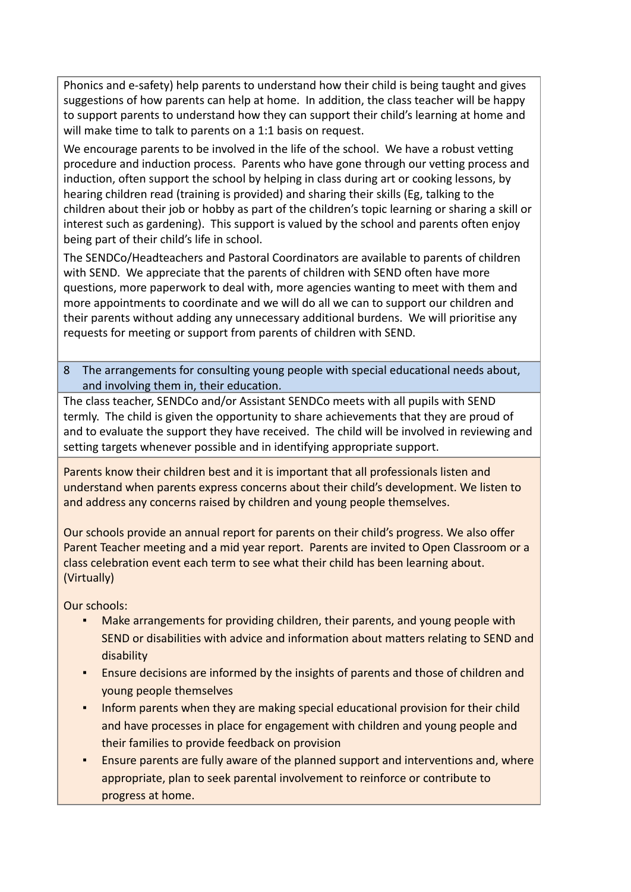Phonics and e-safety) help parents to understand how their child is being taught and gives suggestions of how parents can help at home. In addition, the class teacher will be happy to support parents to understand how they can support their child's learning at home and will make time to talk to parents on a 1:1 basis on request.

We encourage parents to be involved in the life of the school. We have a robust vetting procedure and induction process. Parents who have gone through our vetting process and induction, often support the school by helping in class during art or cooking lessons, by hearing children read (training is provided) and sharing their skills (Eg, talking to the children about their job or hobby as part of the children's topic learning or sharing a skill or interest such as gardening). This support is valued by the school and parents often enjoy being part of their child's life in school.

The SENDCo/Headteachers and Pastoral Coordinators are available to parents of children with SEND. We appreciate that the parents of children with SEND often have more questions, more paperwork to deal with, more agencies wanting to meet with them and more appointments to coordinate and we will do all we can to support our children and their parents without adding any unnecessary additional burdens. We will prioritise any requests for meeting or support from parents of children with SEND.

8 The arrangements for consulting young people with special educational needs about, and involving them in, their education.

The class teacher, SENDCo and/or Assistant SENDCo meets with all pupils with SEND termly. The child is given the opportunity to share achievements that they are proud of and to evaluate the support they have received. The child will be involved in reviewing and setting targets whenever possible and in identifying appropriate support.

Parents know their children best and it is important that all professionals listen and understand when parents express concerns about their child's development. We listen to and address any concerns raised by children and young people themselves.

Our schools provide an annual report for parents on their child's progress. We also offer Parent Teacher meeting and a mid year report. Parents are invited to Open Classroom or a class celebration event each term to see what their child has been learning about. (Virtually)

- Make arrangements for providing children, their parents, and young people with SEND or disabilities with advice and information about matters relating to SEND and disability
- **Ensure decisions are informed by the insights of parents and those of children and** young people themselves
- **Inform parents when they are making special educational provision for their child** and have processes in place for engagement with children and young people and their families to provide feedback on provision
- Ensure parents are fully aware of the planned support and interventions and, where appropriate, plan to seek parental involvement to reinforce or contribute to progress at home.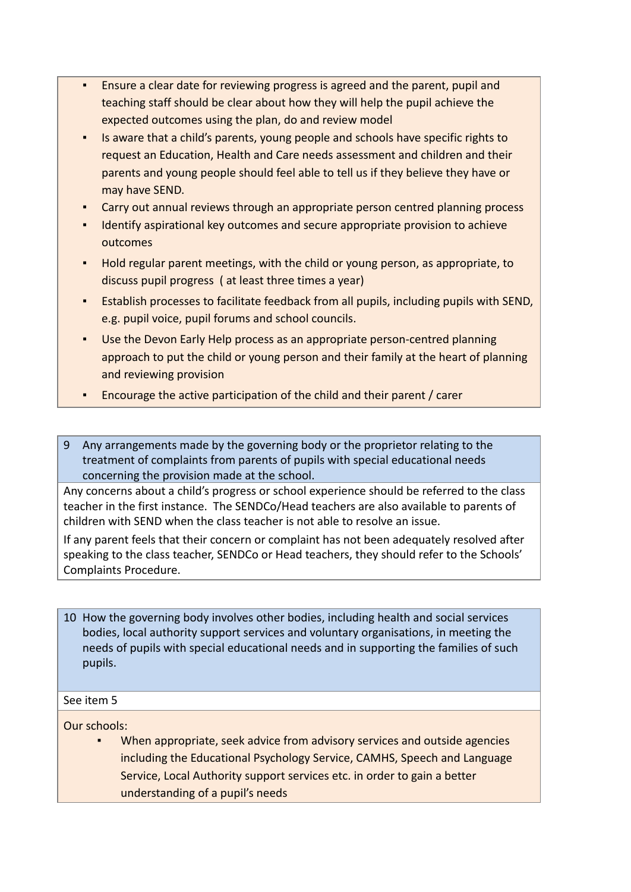- Ensure a clear date for reviewing progress is agreed and the parent, pupil and teaching staff should be clear about how they will help the pupil achieve the expected outcomes using the plan, do and review model
- Is aware that a child's parents, young people and schools have specific rights to request an Education, Health and Care needs assessment and children and their parents and young people should feel able to tell us if they believe they have or may have SEND.
- Carry out annual reviews through an appropriate person centred planning process
- Identify aspirational key outcomes and secure appropriate provision to achieve outcomes
- Hold regular parent meetings, with the child or young person, as appropriate, to discuss pupil progress ( at least three times a year)
- Establish processes to facilitate feedback from all pupils, including pupils with SEND, e.g. pupil voice, pupil forums and school councils.
- Use the Devon Early Help process as an appropriate person-centred planning approach to put the child or young person and their family at the heart of planning and reviewing provision
- Encourage the active participation of the child and their parent / carer

9 Any arrangements made by the governing body or the proprietor relating to the treatment of complaints from parents of pupils with special educational needs concerning the provision made at the school.

Any concerns about a child's progress or school experience should be referred to the class teacher in the first instance. The SENDCo/Head teachers are also available to parents of children with SEND when the class teacher is not able to resolve an issue.

If any parent feels that their concern or complaint has not been adequately resolved after speaking to the class teacher, SENDCo or Head teachers, they should refer to the Schools' Complaints Procedure.

10 How the governing body involves other bodies, including health and social services bodies, local authority support services and voluntary organisations, in meeting the needs of pupils with special educational needs and in supporting the families of such pupils.

### See item 5

Our schools:

When appropriate, seek advice from advisory services and outside agencies including the Educational Psychology Service, CAMHS, Speech and Language Service, Local Authority support services etc. in order to gain a better understanding of a pupil's needs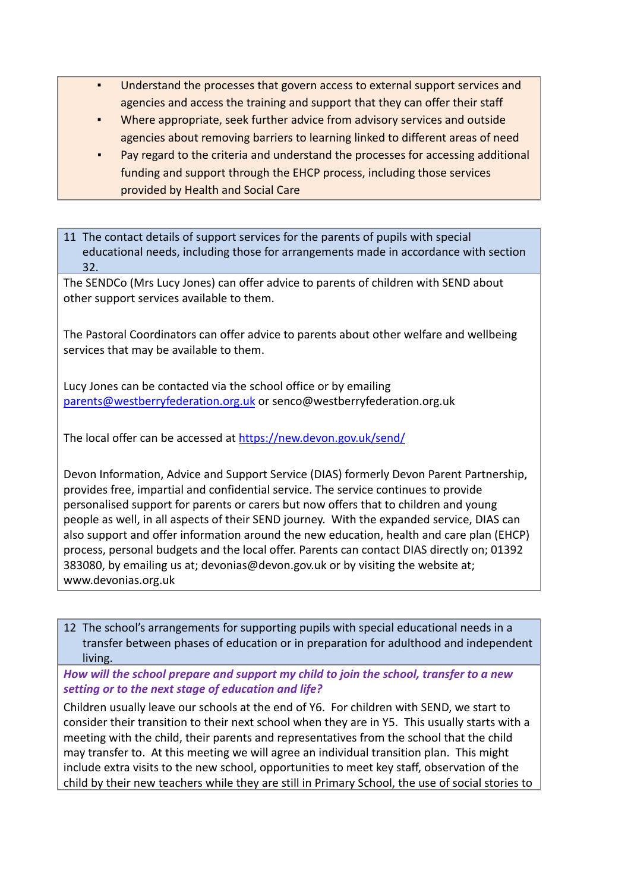- Understand the processes that govern access to external support services and agencies and access the training and support that they can offer their staff
- Where appropriate, seek further advice from advisory services and outside agencies about removing barriers to learning linked to different areas of need
- Pay regard to the criteria and understand the processes for accessing additional funding and support through the EHCP process, including those services provided by Health and Social Care

11 The contact details of support services for the parents of pupils with special educational needs, including those for arrangements made in accordance with section 32.

The SENDCo (Mrs Lucy Jones) can offer advice to parents of children with SEND about other support services available to them.

The Pastoral Coordinators can offer advice to parents about other welfare and wellbeing services that may be available to them.

Lucy Jones can be contacted via the school office or by emailing [parents@westberryfederation.org.uk](mailto:parents@westberryfederation.org.uk) or senco@westberryfederation.org.uk

The local offer can be accessed at <https://new.devon.gov.uk/send/>

Devon Information, Advice and Support Service (DIAS) formerly Devon Parent Partnership, provides free, impartial and confidential service. The service continues to provide personalised support for parents or carers but now offers that to children and young people as well, in all aspects of their SEND journey. With the expanded service, DIAS can also support and offer information around the new education, health and care plan (EHCP) process, personal budgets and the local offer. Parents can contact DIAS directly on; 01392 383080, by emailing us at; devonias@devon.gov.uk or by visiting the website at; www.devonias.org.uk

12 The school's arrangements for supporting pupils with special educational needs in a transfer between phases of education or in preparation for adulthood and independent living.

*How will the school prepare and support my child to join the school, transfer to a new setting or to the next stage of education and life?*

Children usually leave our schools at the end of Y6. For children with SEND, we start to consider their transition to their next school when they are in Y5. This usually starts with a meeting with the child, their parents and representatives from the school that the child may transfer to. At this meeting we will agree an individual transition plan. This might include extra visits to the new school, opportunities to meet key staff, observation of the child by their new teachers while they are still in Primary School, the use of social stories to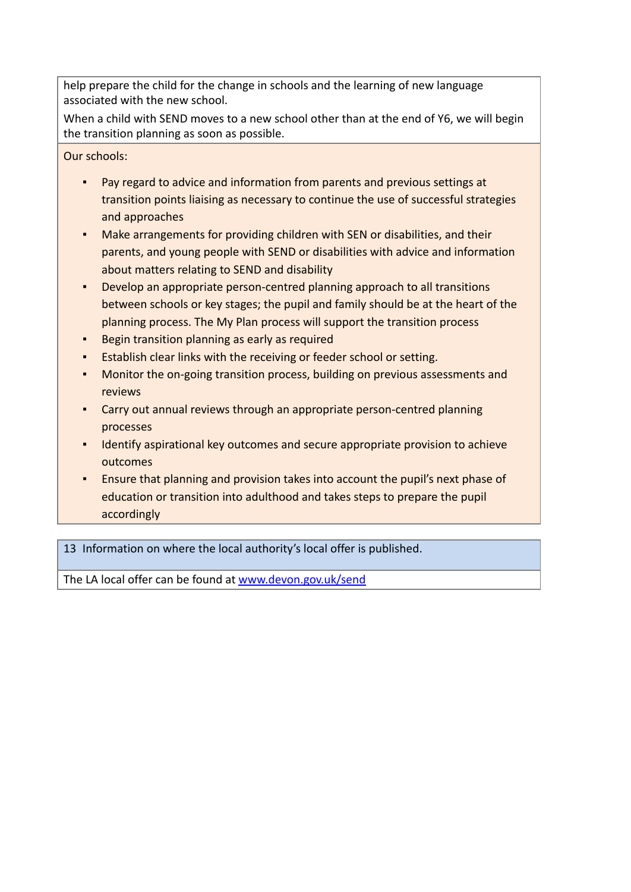help prepare the child for the change in schools and the learning of new language associated with the new school.

When a child with SEND moves to a new school other than at the end of Y6, we will begin the transition planning as soon as possible.

Our schools:

- Pay regard to advice and information from parents and previous settings at transition points liaising as necessary to continue the use of successful strategies and approaches
- Make arrangements for providing children with SEN or disabilities, and their parents, and young people with SEND or disabilities with advice and information about matters relating to SEND and disability
- Develop an appropriate person-centred planning approach to all transitions between schools or key stages; the pupil and family should be at the heart of the planning process. The My Plan process will support the transition process
- Begin transition planning as early as required
- Establish clear links with the receiving or feeder school or setting.
- Monitor the on-going transition process, building on previous assessments and reviews
- Carry out annual reviews through an appropriate person-centred planning processes
- **EXED 1** Identify aspirational key outcomes and secure appropriate provision to achieve outcomes
- Ensure that planning and provision takes into account the pupil's next phase of education or transition into adulthood and takes steps to prepare the pupil accordingly

13 Information on where the local authority's local offer is published.

The LA local offer can be found at [www.devon.gov.uk/send](http://www.devon.gov.uk/send)